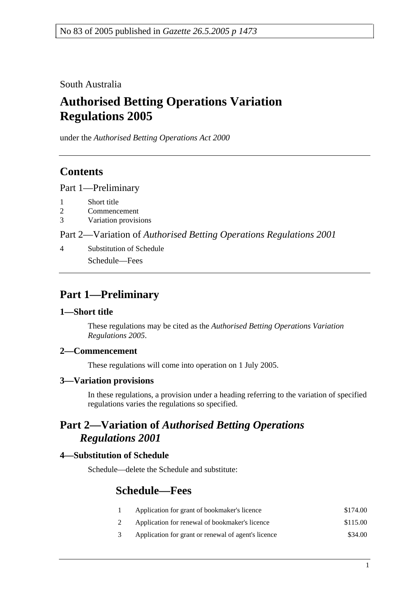South Australia

# **Authorised Betting Operations Variation Regulations 2005**

under the *Authorised Betting Operations Act 2000*

### **Contents**

Part 1—Preliminary

- 1 Short title
- 2 Commencement
- 3 Variation provisions

Part 2—Variation of *Authorised Betting Operations Regulations 2001*

4 Substitution of Schedule Schedule—Fees

## **Part 1—Preliminary**

#### **1—Short title**

These regulations may be cited as the *Authorised Betting Operations Variation Regulations 2005*.

#### **2—Commencement**

These regulations will come into operation on 1 July 2005.

#### **3—Variation provisions**

In these regulations, a provision under a heading referring to the variation of specified regulations varies the regulations so specified.

### **Part 2—Variation of** *Authorised Betting Operations Regulations 2001*

#### **4—Substitution of Schedule**

Schedule—delete the Schedule and substitute:

### **Schedule—Fees**

- 1 Application for grant of bookmaker's licence \$174.00
- 2 Application for renewal of bookmaker's licence \$115.00
- 3 Application for grant or renewal of agent's licence \$34.00